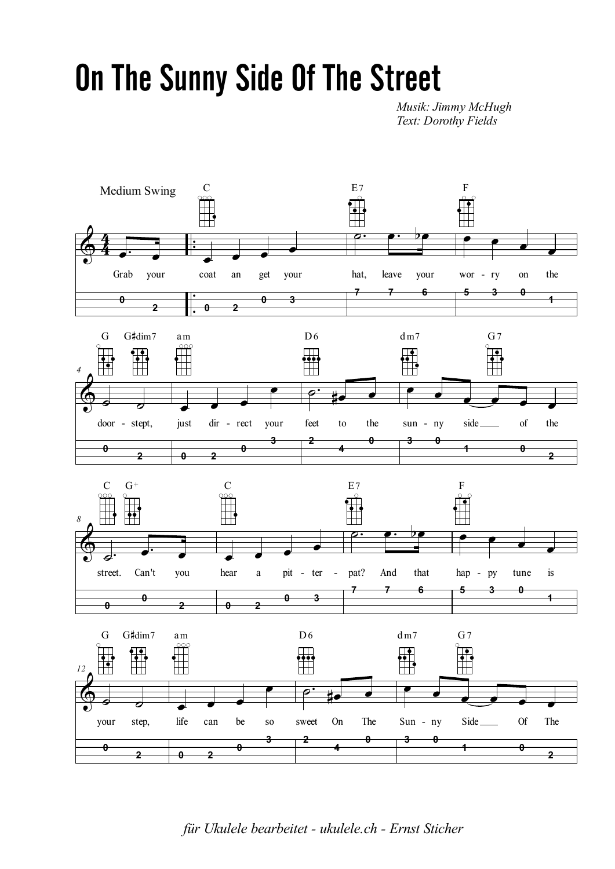## On The Sunny Side Of The Street

*Musik: Jimmy McHugh Text: Dorothy Fields*



*für Ukulele bearbeitet - ukulele.ch - Ernst Sticher*